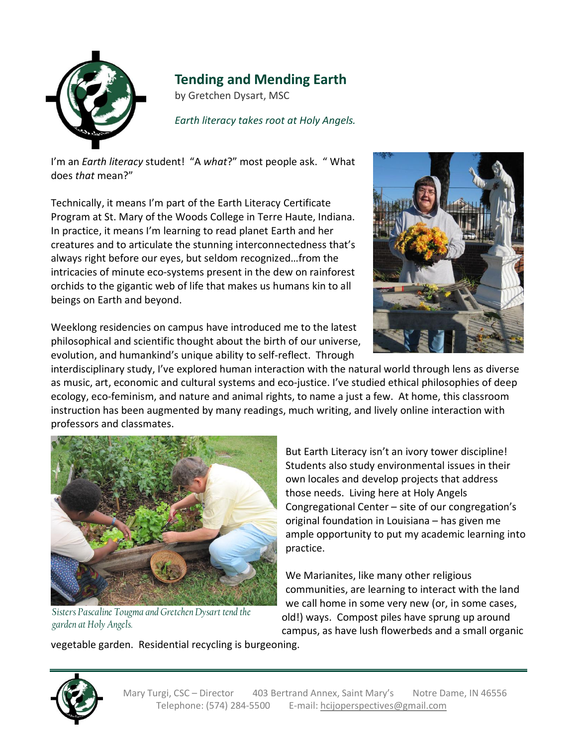

## **Tending and Mending Earth**

by Gretchen Dysart, MSC

*Earth literacy takes root at Holy Angels.*

I'm an *Earth literacy* student! "A *what*?" most people ask. " What does *that* mean?"

Technically, it means I'm part of the Earth Literacy Certificate Program at St. Mary of the Woods College in Terre Haute, Indiana. In practice, it means I'm learning to read planet Earth and her creatures and to articulate the stunning interconnectedness that's always right before our eyes, but seldom recognized…from the intricacies of minute eco-systems present in the dew on rainforest orchids to the gigantic web of life that makes us humans kin to all beings on Earth and beyond.



Weeklong residencies on campus have introduced me to the latest philosophical and scientific thought about the birth of our universe, evolution, and humankind's unique ability to self-reflect. Through

interdisciplinary study, I've explored human interaction with the natural world through lens as diverse as music, art, economic and cultural systems and eco-justice. I've studied ethical philosophies of deep ecology, eco-feminism, and nature and animal rights, to name a just a few. At home, this classroom instruction has been augmented by many readings, much writing, and lively online interaction with professors and classmates.



*Sisters Pascaline Tougma and GretchenDysart tend the garden atHoly Angels.*

But Earth Literacy isn't an ivory tower discipline! Students also study environmental issues in their own locales and develop projects that address those needs. Living here at Holy Angels Congregational Center – site of our congregation's original foundation in Louisiana – has given me ample opportunity to put my academic learning into practice.

We Marianites, like many other religious communities, are learning to interact with the land we call home in some very new (or, in some cases, old!) ways. Compost piles have sprung up around campus, as have lush flowerbeds and a small organic

vegetable garden. Residential recycling is burgeoning.